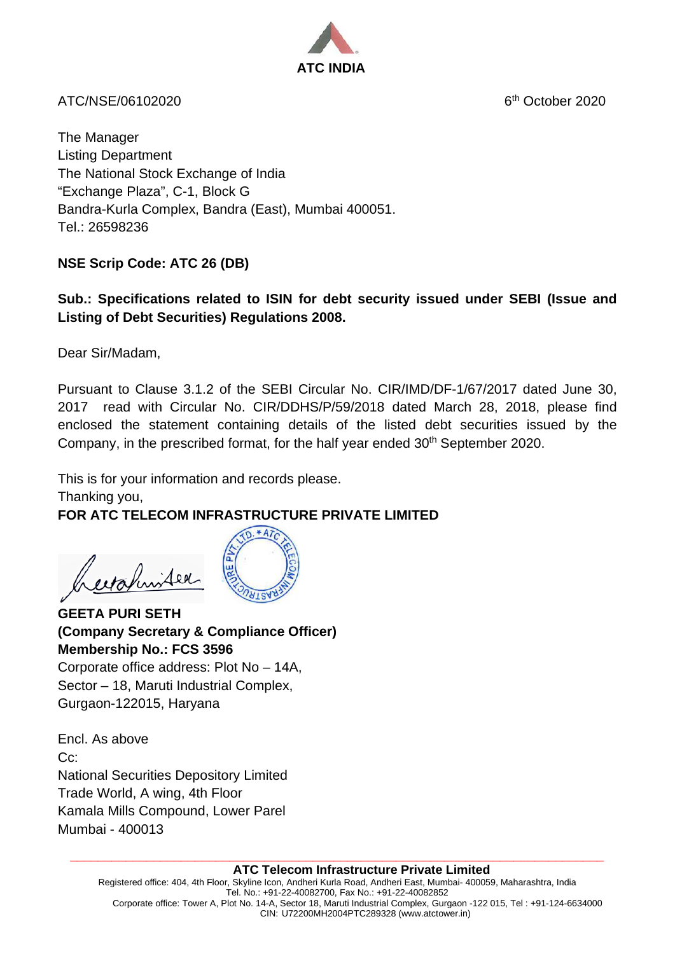

ATC/NSE/06102020 6th October 2020

The Manager Listing Department The National Stock Exchange of India "Exchange Plaza", C-1, Block G Bandra-Kurla Complex, Bandra (East), Mumbai 400051. Tel.: 26598236

# **NSE Scrip Code: ATC 26 (DB)**

### **Sub.: Specifications related to ISIN for debt security issued under SEBI (Issue and Listing of Debt Securities) Regulations 2008.**

Dear Sir/Madam,

Pursuant to Clause 3.1.2 of the SEBI Circular No. CIR/IMD/DF-1/67/2017 dated June 30, 2017 read with Circular No. CIR/DDHS/P/59/2018 dated March 28, 2018, please find enclosed the statement containing details of the listed debt securities issued by the Company, in the prescribed format, for the half year ended 30<sup>th</sup> September 2020.

This is for your information and records please. Thanking you,

# **FOR ATC TELECOM INFRASTRUCTURE PRIVATE LIMITED**

exahinited



 $*AT$ 

**GEETA PURI SETH (Company Secretary & Compliance Officer) Membership No.: FCS 3596** Corporate office address: Plot No – 14A,

Sector – 18, Maruti Industrial Complex, Gurgaon-122015, Haryana

Encl. As above Cc: National Securities Depository Limited Trade World, A wing, 4th Floor Kamala Mills Compound, Lower Parel Mumbai - 400013